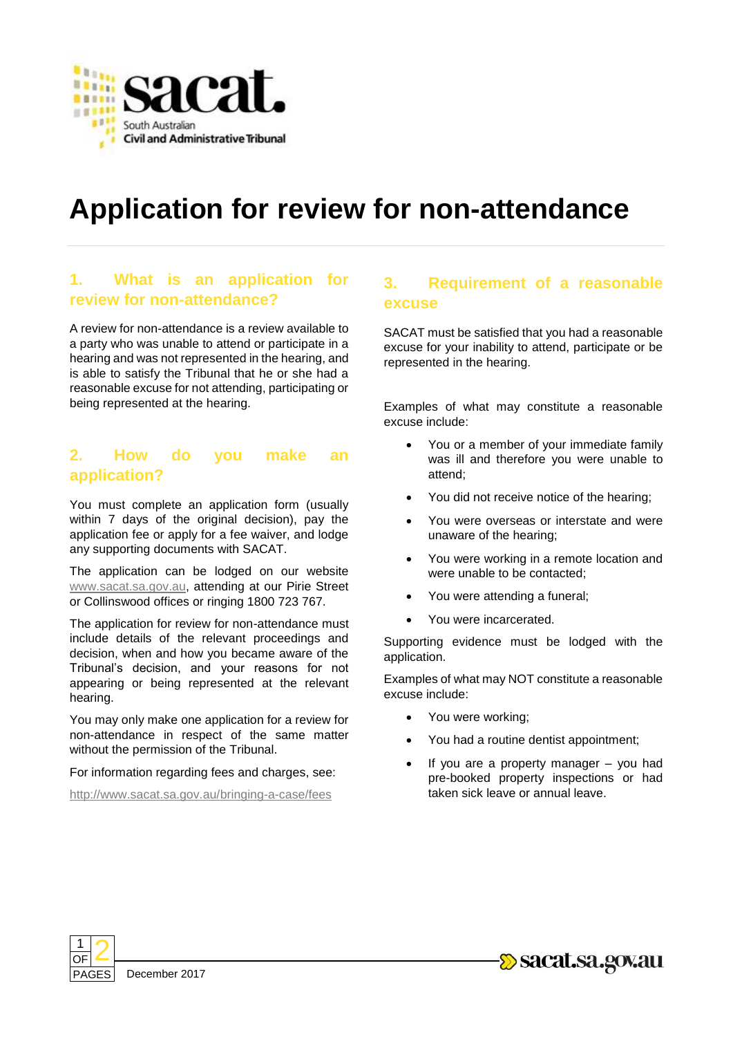

# **Application for review for non-attendance**

## **1. What is an application for review for non-attendance?**

A review for non-attendance is a review available to a party who was unable to attend or participate in a hearing and was not represented in the hearing, and is able to satisfy the Tribunal that he or she had a reasonable excuse for not attending, participating or being represented at the hearing.

#### **2. How do you make an application?**

You must complete an application form (usually within 7 days of the original decision), pay the application fee or apply for a fee waiver, and lodge any supporting documents with SACAT.

The application can be lodged on our website [www.sacat.sa.gov.au,](http://www.sacat.sa.gov.au/) attending at our Pirie Street or Collinswood offices or ringing 1800 723 767.

The application for review for non-attendance must include details of the relevant proceedings and decision, when and how you became aware of the Tribunal's decision, and your reasons for not appearing or being represented at the relevant hearing.

You may only make one application for a review for non-attendance in respect of the same matter without the permission of the Tribunal.

For information regarding fees and charges, see:

<http://www.sacat.sa.gov.au/bringing-a-case/fees>

### **3. Requirement of a reasonable excuse**

SACAT must be satisfied that you had a reasonable excuse for your inability to attend, participate or be represented in the hearing.

Examples of what may constitute a reasonable excuse include:

- You or a member of your immediate family was ill and therefore you were unable to attend;
- You did not receive notice of the hearing;
- You were overseas or interstate and were unaware of the hearing;
- You were working in a remote location and were unable to be contacted;
- You were attending a funeral;
- You were incarcerated.

Supporting evidence must be lodged with the application.

Examples of what may NOT constitute a reasonable excuse include:

- You were working;
- You had a routine dentist appointment;
- If you are a property manager you had pre-booked property inspections or had taken sick leave or annual leave.